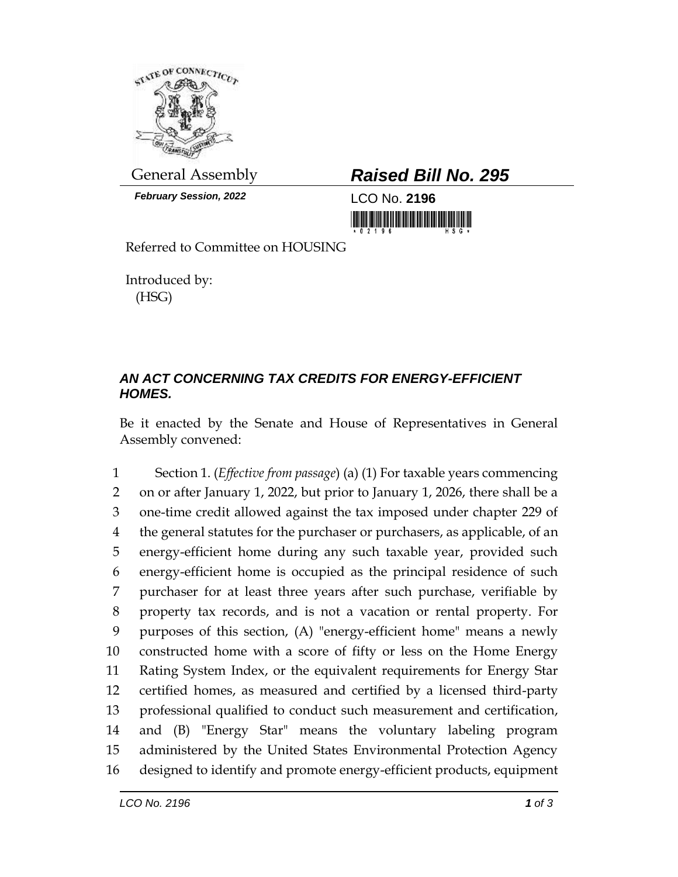

*February Session, 2022* LCO No. **2196**

## General Assembly *Raised Bill No. 295*

<u> 1999 - Andrew Maria Maria Maria Maria Maria Maria Maria Maria Maria Maria Maria Maria Maria Maria Maria Mari</u>

Referred to Committee on HOUSING

Introduced by: (HSG)

## *AN ACT CONCERNING TAX CREDITS FOR ENERGY-EFFICIENT HOMES.*

Be it enacted by the Senate and House of Representatives in General Assembly convened:

 Section 1. (*Effective from passage*) (a) (1) For taxable years commencing on or after January 1, 2022, but prior to January 1, 2026, there shall be a one-time credit allowed against the tax imposed under chapter 229 of the general statutes for the purchaser or purchasers, as applicable, of an energy-efficient home during any such taxable year, provided such energy-efficient home is occupied as the principal residence of such purchaser for at least three years after such purchase, verifiable by property tax records, and is not a vacation or rental property. For purposes of this section, (A) "energy-efficient home" means a newly constructed home with a score of fifty or less on the Home Energy Rating System Index, or the equivalent requirements for Energy Star certified homes, as measured and certified by a licensed third-party professional qualified to conduct such measurement and certification, and (B) "Energy Star" means the voluntary labeling program administered by the United States Environmental Protection Agency designed to identify and promote energy-efficient products, equipment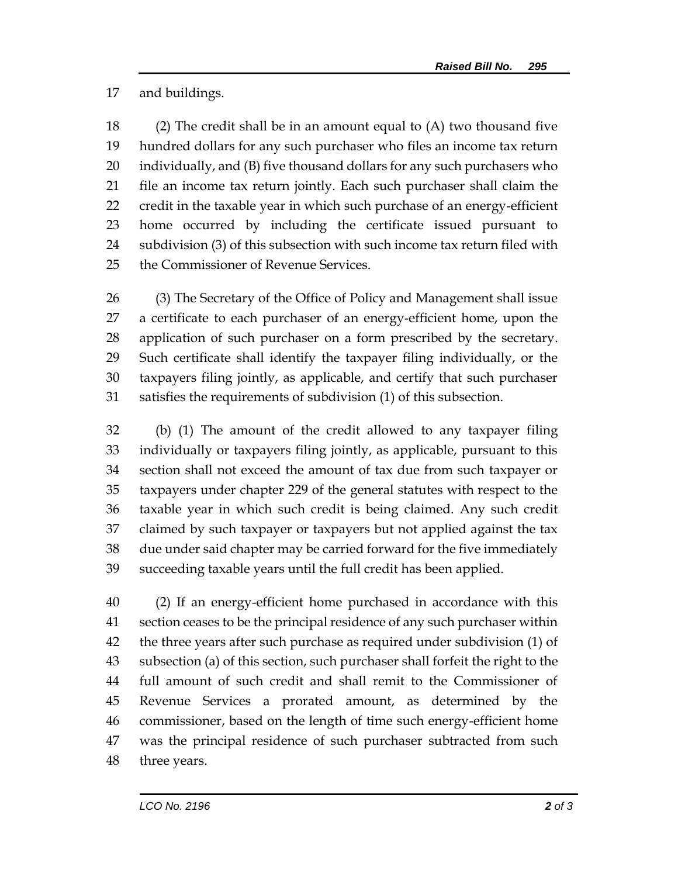and buildings.

 (2) The credit shall be in an amount equal to (A) two thousand five hundred dollars for any such purchaser who files an income tax return individually, and (B) five thousand dollars for any such purchasers who file an income tax return jointly. Each such purchaser shall claim the credit in the taxable year in which such purchase of an energy-efficient home occurred by including the certificate issued pursuant to subdivision (3) of this subsection with such income tax return filed with the Commissioner of Revenue Services.

 (3) The Secretary of the Office of Policy and Management shall issue a certificate to each purchaser of an energy-efficient home, upon the application of such purchaser on a form prescribed by the secretary. Such certificate shall identify the taxpayer filing individually, or the taxpayers filing jointly, as applicable, and certify that such purchaser satisfies the requirements of subdivision (1) of this subsection.

 (b) (1) The amount of the credit allowed to any taxpayer filing individually or taxpayers filing jointly, as applicable, pursuant to this section shall not exceed the amount of tax due from such taxpayer or taxpayers under chapter 229 of the general statutes with respect to the taxable year in which such credit is being claimed. Any such credit claimed by such taxpayer or taxpayers but not applied against the tax due under said chapter may be carried forward for the five immediately succeeding taxable years until the full credit has been applied.

 (2) If an energy-efficient home purchased in accordance with this section ceases to be the principal residence of any such purchaser within the three years after such purchase as required under subdivision (1) of subsection (a) of this section, such purchaser shall forfeit the right to the full amount of such credit and shall remit to the Commissioner of Revenue Services a prorated amount, as determined by the commissioner, based on the length of time such energy-efficient home was the principal residence of such purchaser subtracted from such three years.